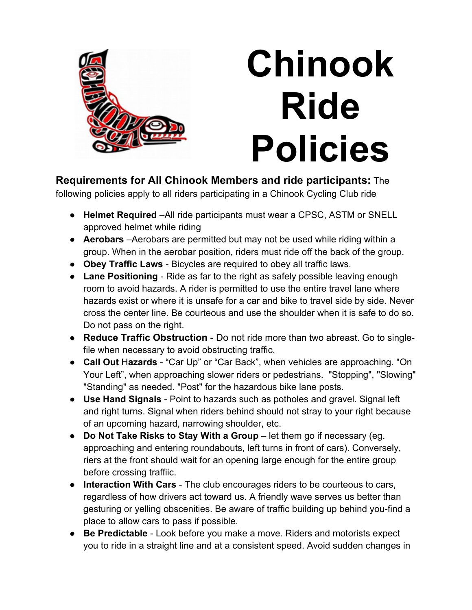

## **Chinook Ride Policies**

**Requirements for All Chinook Members and ride participants:** The following policies apply to all riders participating in a Chinook Cycling Club ride

- **Helmet Required** –All ride participants must wear a CPSC, ASTM or SNELL approved helmet while riding
- **Aerobars** –Aerobars are permitted but may not be used while riding within a group. When in the aerobar position, riders must ride off the back of the group.
- **Obey Traffic Laws**  Bicycles are required to obey all traffic laws.
- **Lane Positioning** Ride as far to the right as safely possible leaving enough room to avoid hazards. A rider is permitted to use the entire travel lane where hazards exist or where it is unsafe for a car and bike to travel side by side. Never cross the center line. Be courteous and use the shoulder when it is safe to do so. Do not pass on the right.
- **Reduce Traffic Obstruction** Do not ride more than two abreast. Go to singlefile when necessary to avoid obstructing traffic.
- **Call Out** H**azards** "Car Up" or "Car Back", when vehicles are approaching. "On Your Left", when approaching slower riders or pedestrians. "Stopping", "Slowing" "Standing" as needed. "Post" for the hazardous bike lane posts.
- **Use Hand Signals** Point to hazards such as potholes and gravel. Signal left and right turns. Signal when riders behind should not stray to your right because of an upcoming hazard, narrowing shoulder, etc.
- **Do Not Take Risks to Stay With a Group** let them go if necessary (eg. approaching and entering roundabouts, left turns in front of cars). Conversely, riers at the front should wait for an opening large enough for the entire group before crossing traffiic.
- **Interaction With Cars** The club encourages riders to be courteous to cars, regardless of how drivers act toward us. A friendly wave serves us better than gesturing or yelling obscenities. Be aware of traffic building up behind you-find a place to allow cars to pass if possible.
- **Be Predictable** Look before you make a move. Riders and motorists expect you to ride in a straight line and at a consistent speed. Avoid sudden changes in